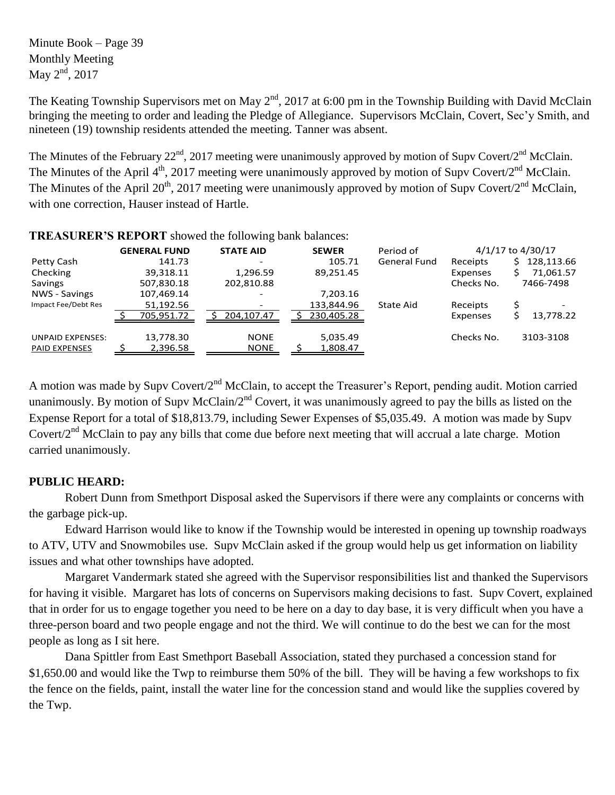Minute Book – Page 39 Monthly Meeting May  $2^{nd}$ , 2017

The Keating Township Supervisors met on May  $2<sup>nd</sup>$ , 2017 at 6:00 pm in the Township Building with David McClain bringing the meeting to order and leading the Pledge of Allegiance. Supervisors McClain, Covert, Sec'y Smith, and nineteen (19) township residents attended the meeting. Tanner was absent.

The Minutes of the February 22<sup>nd</sup>, 2017 meeting were unanimously approved by motion of Supv Covert/2<sup>nd</sup> McClain. The Minutes of the April  $4^{\text{th}}$ , 2017 meeting were unanimously approved by motion of Supv Covert/2<sup>nd</sup> McClain. The Minutes of the April 20<sup>th</sup>, 2017 meeting were unanimously approved by motion of Supv Covert/2<sup>nd</sup> McClain, with one correction, Hauser instead of Hartle.

| TREADURER D'RET URT SHOWER HIC TOHOWING DRIM DRIMINES. |                     |                  |              |                     |            |                   |
|--------------------------------------------------------|---------------------|------------------|--------------|---------------------|------------|-------------------|
|                                                        | <b>GENERAL FUND</b> | <b>STATE AID</b> | <b>SEWER</b> | Period of           |            | 4/1/17 to 4/30/17 |
| Petty Cash                                             | 141.73              |                  | 105.71       | <b>General Fund</b> | Receipts   | 128,113.66<br>S.  |
| Checking                                               | 39,318.11           | 1,296.59         | 89,251.45    |                     | Expenses   | 71,061.57         |
| Savings                                                | 507,830.18          | 202,810.88       |              |                     | Checks No. | 7466-7498         |
| NWS - Savings                                          | 107,469.14          |                  | 7,203.16     |                     |            |                   |
| Impact Fee/Debt Res                                    | 51,192.56           |                  | 133,844.96   | State Aid           | Receipts   |                   |
|                                                        | 705,951.72          | 204,107.47       | 230,405.28   |                     | Expenses   | 13,778.22         |
| <b>UNPAID EXPENSES:</b>                                | 13,778.30           | <b>NONE</b>      | 5,035.49     |                     | Checks No. | 3103-3108         |
| <b>PAID EXPENSES</b>                                   | 2,396.58            | <b>NONE</b>      | 1,808.47     |                     |            |                   |

**TREASURER'S REPORT** showed the following bank balances:

A motion was made by Supv Covert/2<sup>nd</sup> McClain, to accept the Treasurer's Report, pending audit. Motion carried unanimously. By motion of Supv McClain/2<sup>nd</sup> Covert, it was unanimously agreed to pay the bills as listed on the Expense Report for a total of \$18,813.79, including Sewer Expenses of \$5,035.49. A motion was made by Supv Covert/2<sup>nd</sup> McClain to pay any bills that come due before next meeting that will accrual a late charge. Motion carried unanimously.

## **PUBLIC HEARD:**

Robert Dunn from Smethport Disposal asked the Supervisors if there were any complaints or concerns with the garbage pick-up.

Edward Harrison would like to know if the Township would be interested in opening up township roadways to ATV, UTV and Snowmobiles use. Supv McClain asked if the group would help us get information on liability issues and what other townships have adopted.

Margaret Vandermark stated she agreed with the Supervisor responsibilities list and thanked the Supervisors for having it visible. Margaret has lots of concerns on Supervisors making decisions to fast. Supv Covert, explained that in order for us to engage together you need to be here on a day to day base, it is very difficult when you have a three-person board and two people engage and not the third. We will continue to do the best we can for the most people as long as I sit here.

Dana Spittler from East Smethport Baseball Association, stated they purchased a concession stand for \$1,650.00 and would like the Twp to reimburse them 50% of the bill. They will be having a few workshops to fix the fence on the fields, paint, install the water line for the concession stand and would like the supplies covered by the Twp.